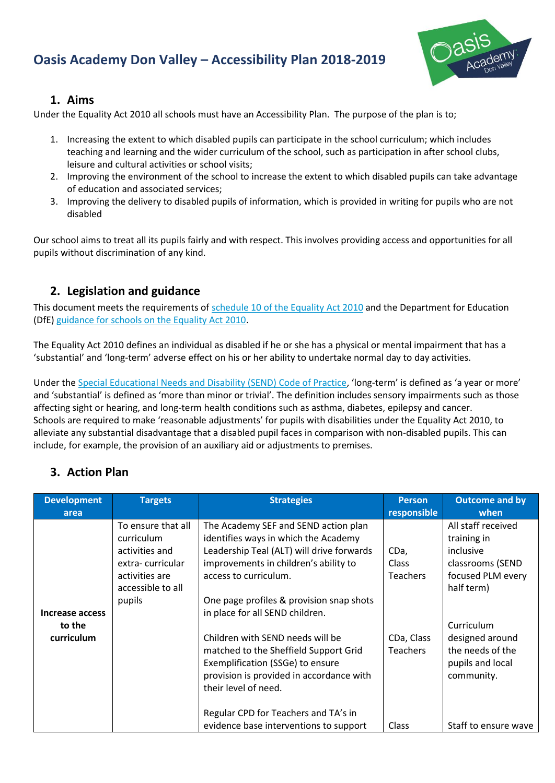# **Oasis Academy Don Valley – Accessibility Plan 2018-2019**



#### **1. Aims**

Under the Equality Act 2010 all schools must have an Accessibility Plan. The purpose of the plan is to;

- 1. Increasing the extent to which disabled pupils can participate in the school curriculum; which includes teaching and learning and the wider curriculum of the school, such as participation in after school clubs, leisure and cultural activities or school visits;
- 2. Improving the environment of the school to increase the extent to which disabled pupils can take advantage of education and associated services;
- 3. Improving the delivery to disabled pupils of information, which is provided in writing for pupils who are not disabled

Our school aims to treat all its pupils fairly and with respect. This involves providing access and opportunities for all pupils without discrimination of any kind.

### **2. Legislation and guidance**

This document meets the requirements of [schedule 10 of the Equality](http://www.legislation.gov.uk/ukpga/2010/15/schedule/10) Act 2010 and the Department for Education (DfE[\) guidance for schools on the Equality Act 2010.](https://www.gov.uk/government/publications/equality-act-2010-advice-for-schools)

The Equality Act 2010 defines an individual as disabled if he or she has a physical or mental impairment that has a 'substantial' and 'long-term' adverse effect on his or her ability to undertake normal day to day activities.

Under the [Special Educational Needs and Disability \(SEND\) Code of Practice](https://www.gov.uk/government/publications/send-code-of-practice-0-to-25), 'long-term' is defined as 'a year or more' and 'substantial' is defined as 'more than minor or trivial'. The definition includes sensory impairments such as those affecting sight or hearing, and long-term health conditions such as asthma, diabetes, epilepsy and cancer. Schools are required to make 'reasonable adjustments' for pupils with disabilities under the Equality Act 2010, to alleviate any substantial disadvantage that a disabled pupil faces in comparison with non-disabled pupils. This can include, for example, the provision of an auxiliary aid or adjustments to premises.

### **3. Action Plan**

| <b>Development</b><br>area | <b>Targets</b>                                                    | <b>Strategies</b>                                                                                                                                                                 | <b>Person</b><br>responsible  | <b>Outcome and by</b><br>when                                                       |
|----------------------------|-------------------------------------------------------------------|-----------------------------------------------------------------------------------------------------------------------------------------------------------------------------------|-------------------------------|-------------------------------------------------------------------------------------|
|                            | To ensure that all<br>curriculum<br>activities and                | The Academy SEF and SEND action plan<br>identifies ways in which the Academy<br>Leadership Teal (ALT) will drive forwards                                                         | CDa,                          | All staff received<br>training in<br>inclusive                                      |
| Increase access            | extra-curricular<br>activities are<br>accessible to all<br>pupils | improvements in children's ability to<br>access to curriculum.<br>One page profiles & provision snap shots<br>in place for all SEND children.                                     | Class<br><b>Teachers</b>      | classrooms (SEND<br>focused PLM every<br>half term)                                 |
| to the<br>curriculum       |                                                                   | Children with SEND needs will be<br>matched to the Sheffield Support Grid<br>Exemplification (SSGe) to ensure<br>provision is provided in accordance with<br>their level of need. | CDa, Class<br><b>Teachers</b> | Curriculum<br>designed around<br>the needs of the<br>pupils and local<br>community. |
|                            |                                                                   | Regular CPD for Teachers and TA's in<br>evidence base interventions to support                                                                                                    | Class                         | Staff to ensure wave                                                                |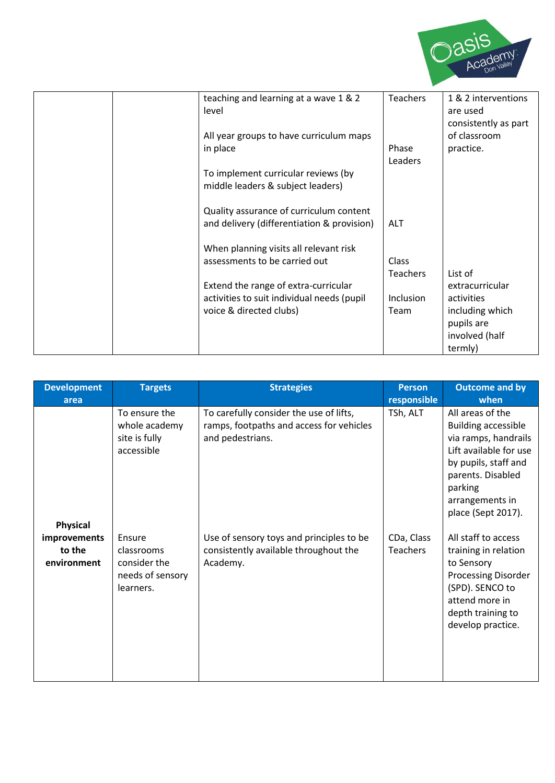

| teaching and learning at a wave 1 & 2<br>level | <b>Teachers</b>  | 1 & 2 interventions<br>are used<br>consistently as part |
|------------------------------------------------|------------------|---------------------------------------------------------|
| All year groups to have curriculum maps        |                  | of classroom                                            |
| in place                                       | Phase            | practice.                                               |
|                                                | Leaders          |                                                         |
| To implement curricular reviews (by            |                  |                                                         |
| middle leaders & subject leaders)              |                  |                                                         |
| Quality assurance of curriculum content        |                  |                                                         |
| and delivery (differentiation & provision)     | ALT              |                                                         |
| When planning visits all relevant risk         |                  |                                                         |
| assessments to be carried out                  | Class            |                                                         |
|                                                | <b>Teachers</b>  | List of                                                 |
| Extend the range of extra-curricular           |                  | extracurricular                                         |
| activities to suit individual needs (pupil     | <b>Inclusion</b> | activities                                              |
| voice & directed clubs)                        | Team             | including which                                         |
|                                                |                  | pupils are                                              |
|                                                |                  | involved (half                                          |
|                                                |                  | termly)                                                 |
|                                                |                  |                                                         |

| <b>Development</b><br>area            | <b>Targets</b>                                                        | <b>Strategies</b>                                                                                       | <b>Person</b><br>responsible  | <b>Outcome and by</b><br>when                                                                                                                                                                     |
|---------------------------------------|-----------------------------------------------------------------------|---------------------------------------------------------------------------------------------------------|-------------------------------|---------------------------------------------------------------------------------------------------------------------------------------------------------------------------------------------------|
| <b>Physical</b>                       | To ensure the<br>whole academy<br>site is fully<br>accessible         | To carefully consider the use of lifts,<br>ramps, footpaths and access for vehicles<br>and pedestrians. | TSh, ALT                      | All areas of the<br><b>Building accessible</b><br>via ramps, handrails<br>Lift available for use<br>by pupils, staff and<br>parents. Disabled<br>parking<br>arrangements in<br>place (Sept 2017). |
| improvements<br>to the<br>environment | Ensure<br>classrooms<br>consider the<br>needs of sensory<br>learners. | Use of sensory toys and principles to be<br>consistently available throughout the<br>Academy.           | CDa, Class<br><b>Teachers</b> | All staff to access<br>training in relation<br>to Sensory<br><b>Processing Disorder</b><br>(SPD). SENCO to<br>attend more in<br>depth training to<br>develop practice.                            |